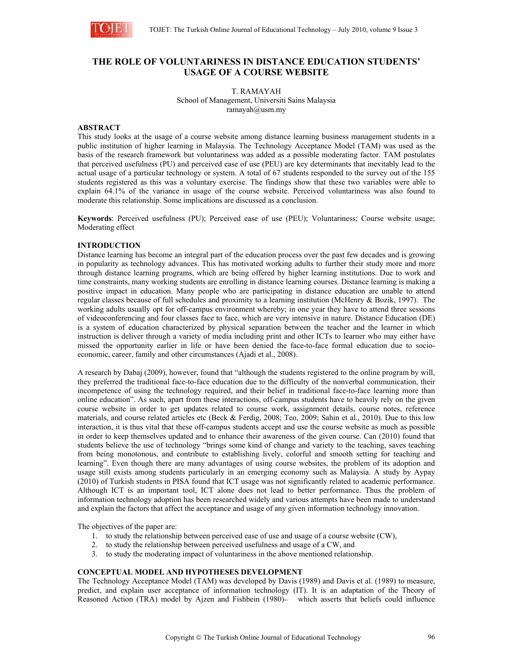

# **THE ROLE OF VOLUNTARINESS IN DISTANCE EDUCATION STUDENTS' USAGE OF A COURSE WEBSITE**

T. RAMAYAH School of Management, Universiti Sains Malaysia ramayah $@$ usm.my

### **ABSTRACT**

This study looks at the usage of a course website among distance learning business management students in a public institution of higher learning in Malaysia. The Technology Acceptance Model (TAM) was used as the basis of the research framework but voluntariness was added as a possible moderating factor. TAM postulates that perceived usefulness (PU) and perceived ease of use (PEU) are key determinants that inevitably lead to the actual usage of a particular technology or system. A total of 67 students responded to the survey out of the 155 students registered as this was a voluntary exercise. The findings show that these two variables were able to explain 64.1% of the variance in usage of the course website. Perceived voluntariness was also found to moderate this relationship. Some implications are discussed as a conclusion.

**Keywords**: Perceived usefulness (PU); Perceived ease of use (PEU); Voluntariness; Course website usage; Moderating effect

#### **INTRODUCTION**

Distance learning has become an integral part of the education process over the past few decades and is growing in popularity as technology advances. This has motivated working adults to further their study more and more through distance learning programs, which are being offered by higher learning institutions. Due to work and time constraints, many working students are enrolling in distance learning courses. Distance learning is making a positive impact in education. Many people who are participating in distance education are unable to attend regular classes because of full schedules and proximity to a learning institution (McHenry & Bozik, 1997). The working adults usually opt for off-campus environment whereby; in one year they have to attend three sessions of videoconferencing and four classes face to face, which are very intensive in nature. Distance Education (DE) is a system of education characterized by physical separation between the teacher and the learner in which instruction is deliver through a variety of media including print and other ICTs to learner who may either have missed the opportunity earlier in life or have been denied the face-to-face formal education due to socioeconomic, career, family and other circumstances (Ajadi et al., 2008).

A research by Dabaj (2009), however, found that "although the students registered to the online program by will, they preferred the traditional face-to-face education due to the difficulty of the nonverbal communication, their incompetence of using the technology required, and their belief in traditional face-to-face learning more than online education". As such, apart from these interactions, off-campus students have to heavily rely on the given course website in order to get updates related to course work, assignment details, course notes, reference materials, and course related articles etc (Beck & Ferdig, 2008; Teo, 2009; Sahin et al., 2010). Due to this low interaction, it is thus vital that these off-campus students accept and use the course website as much as possible in order to keep themselves updated and to enhance their awareness of the given course. Can (2010) found that students believe the use of technology "brings some kind of change and variety to the teaching, saves teaching from being monotonous, and contribute to establishing lively, colorful and smooth setting for teaching and learning". Even though there are many advantages of using course websites, the problem of its adoption and usage still exists among students particularly in an emerging economy such as Malaysia. A study by Aypay (2010) of Turkish students in PISA found that ICT usage was not significantly related to academic performance. Although ICT is an important tool, ICT alone does not lead to better performance. Thus the problem of information technology adoption has been researched widely and various attempts have been made to understand and explain the factors that affect the acceptance and usage of any given information technology innovation.

The objectives of the paper are:

- 1. to study the relationship between perceived ease of use and usage of a course website (CW),
- 2. to study the relationship between perceived usefulness and usage of a CW, and
- 3. to study the moderating impact of voluntariness in the above mentioned relationship.

### **CONCEPTUAL MODEL AND HYPOTHESES DEVELOPMENT**

The Technology Acceptance Model (TAM) was developed by Davis (1989) and Davis et al. (1989) to measure, predict, and explain user acceptance of information technology (IT). It is an adaptation of the Theory of Reasoned Action (TRA) model by Ajzen and Fishbein (1980)- which asserts that beliefs could influence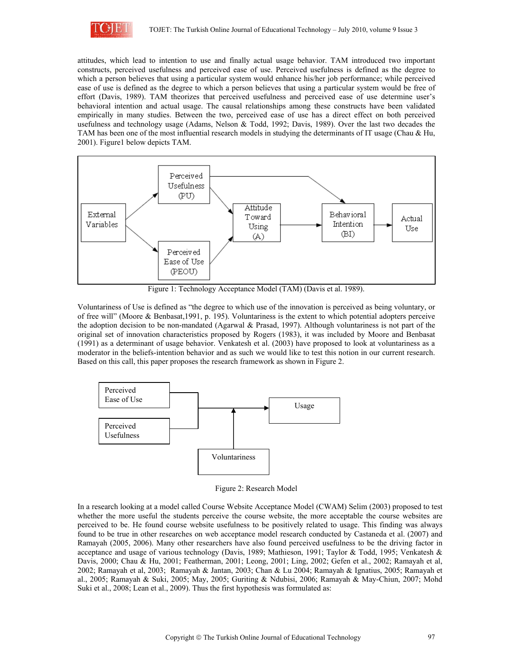

attitudes, which lead to intention to use and finally actual usage behavior. TAM introduced two important constructs, perceived usefulness and perceived ease of use. Perceived usefulness is defined as the degree to which a person believes that using a particular system would enhance his/her job performance; while perceived ease of use is defined as the degree to which a person believes that using a particular system would be free of effort (Davis, 1989). TAM theorizes that perceived usefulness and perceived ease of use determine user's behavioral intention and actual usage. The causal relationships among these constructs have been validated empirically in many studies. Between the two, perceived ease of use has a direct effect on both perceived usefulness and technology usage (Adams, Nelson & Todd, 1992; Davis, 1989). Over the last two decades the TAM has been one of the most influential research models in studying the determinants of IT usage (Chau & Hu, 2001). Figure1 below depicts TAM.



Figure 1: Technology Acceptance Model (TAM) (Davis et al. 1989).

Voluntariness of Use is defined as "the degree to which use of the innovation is perceived as being voluntary, or of free will" (Moore & Benbasat,1991, p. 195). Voluntariness is the extent to which potential adopters perceive the adoption decision to be non-mandated (Agarwal & Prasad, 1997). Although voluntariness is not part of the original set of innovation characteristics proposed by Rogers (1983), it was included by Moore and Benbasat (1991) as a determinant of usage behavior. Venkatesh et al. (2003) have proposed to look at voluntariness as a moderator in the beliefs-intention behavior and as such we would like to test this notion in our current research. Based on this call, this paper proposes the research framework as shown in Figure 2.



Figure 2: Research Model

In a research looking at a model called Course Website Acceptance Model (CWAM) Selim (2003) proposed to test whether the more useful the students perceive the course website, the more acceptable the course websites are perceived to be. He found course website usefulness to be positively related to usage. This finding was always found to be true in other researches on web acceptance model research conducted by Castaneda et al. (2007) and Ramayah (2005, 2006). Many other researchers have also found perceived usefulness to be the driving factor in acceptance and usage of various technology (Davis, 1989; Mathieson, 1991; Taylor & Todd, 1995; Venkatesh & Davis, 2000; Chau & Hu, 2001; Featherman, 2001; Leong, 2001; Ling, 2002; Gefen et al., 2002; Ramayah et al, 2002; Ramayah et al, 2003; Ramayah & Jantan, 2003; Chan & Lu 2004; Ramayah & Ignatius, 2005; Ramayah et al., 2005; Ramayah & Suki, 2005; May, 2005; Guriting & Ndubisi, 2006; Ramayah & May-Chiun, 2007; Mohd Suki et al., 2008; Lean et al., 2009). Thus the first hypothesis was formulated as: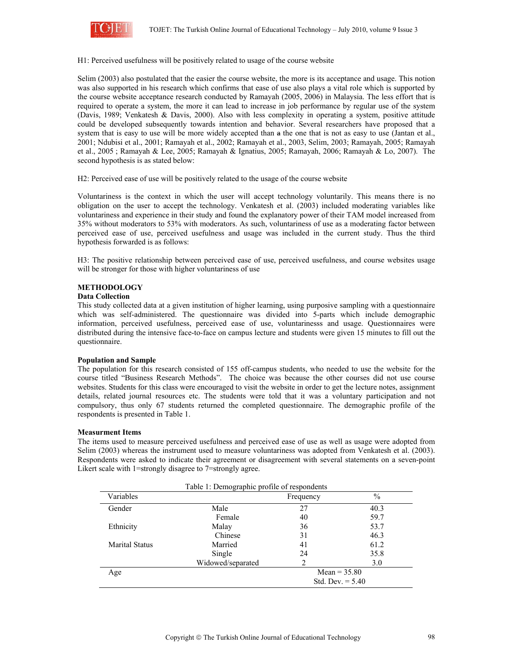

#### H1: Perceived usefulness will be positively related to usage of the course website

Selim (2003) also postulated that the easier the course website, the more is its acceptance and usage. This notion was also supported in his research which confirms that ease of use also plays a vital role which is supported by the course website acceptance research conducted by Ramayah (2005, 2006) in Malaysia. The less effort that is required to operate a system, the more it can lead to increase in job performance by regular use of the system (Davis, 1989; Venkatesh & Davis, 2000). Also with less complexity in operating a system, positive attitude could be developed subsequently towards intention and behavior. Several researchers have proposed that a system that is easy to use will be more widely accepted than  $\theta$  as the one that is not as easy to use (Jantan et al., 2001; Ndubisi et al., 2001; Ramayah et al., 2002; Ramayah et al., 2003, Selim, 2003; Ramayah, 2005; Ramayah et al., 2005 ; Ramayah & Lee, 2005; Ramayah & Ignatius, 2005; Ramayah, 2006; Ramayah & Lo, 2007). The second hypothesis is as stated below:

H2: Perceived ease of use will be positively related to the usage of the course website

Voluntariness is the context in which the user will accept technology voluntarily. This means there is no obligation on the user to accept the technology. Venkatesh et al. (2003) included moderating variables like voluntariness and experience in their study and found the explanatory power of their TAM model increased from 35% without moderators to 53% with moderators. As such, voluntariness of use as a moderating factor between perceived ease of use, perceived usefulness and usage was included in the current study. Thus the third hypothesis forwarded is as follows:

H3: The positive relationship between perceived ease of use, perceived usefulness, and course websites usage will be stronger for those with higher voluntariness of use

### **METHODOLOGY**

### **Data Collection**

This study collected data at a given institution of higher learning, using purposive sampling with a questionnaire which was self-administered. The questionnaire was divided into 5-parts which include demographic information, perceived usefulness, perceived ease of use, voluntarinesss and usage. Questionnaires were distributed during the intensive face-to-face on campus lecture and students were given 15 minutes to fill out the questionnaire.

#### **Population and Sample**

The population for this research consisted of 155 off-campus students, who needed to use the website for the course titled "Business Research Methods". The choice was because the other courses did not use course websites. Students for this class were encouraged to visit the website in order to get the lecture notes, assignment details, related journal resources etc. The students were told that it was a voluntary participation and not compulsory, thus only 67 students returned the completed questionnaire. The demographic profile of the respondents is presented in Table 1.

#### **Measurment Items**

The items used to measure perceived usefulness and perceived ease of use as well as usage were adopted from Selim (2003) whereas the instrument used to measure voluntariness was adopted from Venkatesh et al. (2003). Respondents were asked to indicate their agreement or disagreement with several statements on a seven-point Likert scale with 1=strongly disagree to 7=strongly agree.

|                       | Table 1: Demographic profile of respondents |                    |      |  |
|-----------------------|---------------------------------------------|--------------------|------|--|
| Variables             |                                             | Frequency          | $\%$ |  |
| Gender                | Male                                        | 27                 | 40.3 |  |
|                       | Female                                      | 40                 | 59.7 |  |
| Ethnicity             | Malay                                       | 36                 | 53.7 |  |
|                       | Chinese                                     | 31                 | 46.3 |  |
| <b>Marital Status</b> | Married                                     | 41                 | 61.2 |  |
|                       | Single                                      | 24                 | 35.8 |  |
|                       | Widowed/separated                           | 2                  | 3.0  |  |
| Age                   |                                             | Mean = $35.80$     |      |  |
|                       |                                             | Std. Dev. $= 5.40$ |      |  |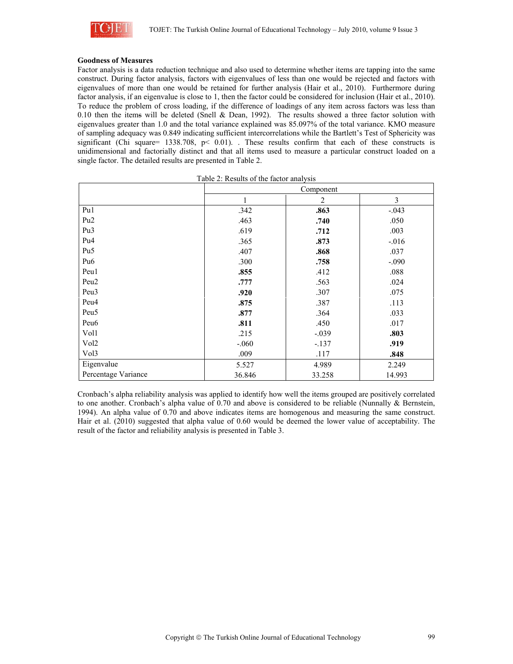

### **Goodness of Measures**

Factor analysis is a data reduction technique and also used to determine whether items are tapping into the same construct. During factor analysis, factors with eigenvalues of less than one would be rejected and factors with eigenvalues of more than one would be retained for further analysis (Hair et al., 2010). Furthermore during factor analysis, if an eigenvalue is close to 1, then the factor could be considered for inclusion (Hair et al., 2010). To reduce the problem of cross loading, if the difference of loadings of any item across factors was less than 0.10 then the items will be deleted (Snell & Dean, 1992). The results showed a three factor solution with eigenvalues greater than 1.0 and the total variance explained was 85.097% of the total variance. KMO measure of sampling adequacy was 0.849 indicating sufficient intercorrelations while the Bartlett's Test of Sphericity was significant (Chi square= 1338.708, p< 0.01). . These results confirm that each of these constructs is unidimensional and factorially distinct and that all items used to measure a particular construct loaded on a single factor. The detailed results are presented in Table 2.

|                     | Component |                |          |  |
|---------------------|-----------|----------------|----------|--|
|                     |           | $\overline{2}$ | 3        |  |
| Pu1                 | .342      | .863           | $-.043$  |  |
| Pu <sub>2</sub>     | .463      | .740           | .050     |  |
| Pu <sub>3</sub>     | .619      | .712           | .003     |  |
| Pu <sub>4</sub>     | .365      | .873           | $-0.016$ |  |
| Pu <sub>5</sub>     | .407      | .868           | .037     |  |
| Pu <sub>6</sub>     | .300      | .758           | $-.090$  |  |
| Peu1                | .855      | .412           | .088     |  |
| Peu <sub>2</sub>    | .777      | .563           | .024     |  |
| Peu <sub>3</sub>    | .920      | .307           | .075     |  |
| Peu <sub>4</sub>    | .875      | .387           | .113     |  |
| Peu <sub>5</sub>    | .877      | .364           | .033     |  |
| Peu <sub>6</sub>    | .811      | .450           | .017     |  |
| Vol1                | .215      | $-.039$        | .803     |  |
| Vol <sub>2</sub>    | $-.060$   | $-.137$        | .919     |  |
| Vol3                | .009      | .117           | .848     |  |
| Eigenvalue          | 5.527     | 4.989          | 2.249    |  |
| Percentage Variance | 36.846    | 33.258         | 14.993   |  |

Table 2: Results of the factor analysis

Cronbach's alpha reliability analysis was applied to identify how well the items grouped are positively correlated to one another. Cronbach's alpha value of 0.70 and above is considered to be reliable (Nunnally & Bernstein, 1994). An alpha value of 0.70 and above indicates items are homogenous and measuring the same construct. Hair et al. (2010) suggested that alpha value of 0.60 would be deemed the lower value of acceptability. The result of the factor and reliability analysis is presented in Table 3.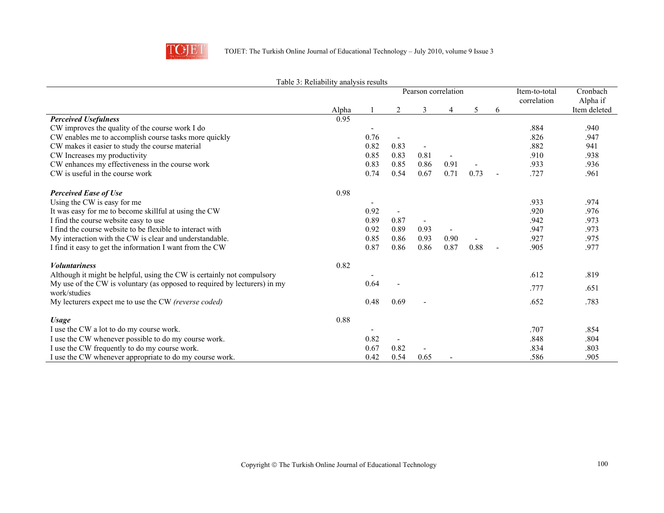

|                                                                           | raone 5. Renaomity andrysis results<br>Pearson correlation |      |      |      | Item-to-total<br>correlation | Cronbach<br>Alpha if |   |      |              |
|---------------------------------------------------------------------------|------------------------------------------------------------|------|------|------|------------------------------|----------------------|---|------|--------------|
|                                                                           | Alpha                                                      |      | 2    | 3    |                              | 5                    | 6 |      | Item deleted |
| <b>Perceived Usefulness</b>                                               | 0.95                                                       |      |      |      |                              |                      |   |      |              |
| CW improves the quality of the course work I do                           |                                                            |      |      |      |                              |                      |   | .884 | .940         |
| CW enables me to accomplish course tasks more quickly                     |                                                            | 0.76 |      |      |                              |                      |   | .826 | .947         |
| CW makes it easier to study the course material                           |                                                            | 0.82 | 0.83 |      |                              |                      |   | .882 | 941          |
| CW Increases my productivity                                              |                                                            | 0.85 | 0.83 | 0.81 |                              |                      |   | .910 | .938         |
| CW enhances my effectiveness in the course work                           |                                                            | 0.83 | 0.85 | 0.86 | 0.91                         |                      |   | .933 | .936         |
| CW is useful in the course work                                           |                                                            | 0.74 | 0.54 | 0.67 | 0.71                         | 0.73                 |   | .727 | .961         |
| <b>Perceived Ease of Use</b>                                              | 0.98                                                       |      |      |      |                              |                      |   |      |              |
| Using the CW is easy for me                                               |                                                            |      |      |      |                              |                      |   | .933 | .974         |
| It was easy for me to become skillful at using the CW                     |                                                            | 0.92 |      |      |                              |                      |   | .920 | .976         |
| I find the course website easy to use                                     |                                                            | 0.89 | 0.87 |      |                              |                      |   | .942 | .973         |
| I find the course website to be flexible to interact with                 |                                                            | 0.92 | 0.89 | 0.93 |                              |                      |   | .947 | .973         |
| My interaction with the CW is clear and understandable.                   |                                                            | 0.85 | 0.86 | 0.93 | 0.90                         |                      |   | .927 | .975         |
| I find it easy to get the information I want from the CW                  |                                                            | 0.87 | 0.86 | 0.86 | 0.87                         | 0.88                 |   | .905 | .977         |
| <b><i>Voluntariness</i></b>                                               | 0.82                                                       |      |      |      |                              |                      |   |      |              |
| Although it might be helpful, using the CW is certainly not compulsory    |                                                            |      |      |      |                              |                      |   | .612 | .819         |
| My use of the CW is voluntary (as opposed to required by lecturers) in my |                                                            | 0.64 |      |      |                              |                      |   | .777 | .651         |
| work/studies                                                              |                                                            |      |      |      |                              |                      |   |      |              |
| My lecturers expect me to use the CW (reverse coded)                      |                                                            | 0.48 | 0.69 |      |                              |                      |   | .652 | .783         |
| <b>Usage</b>                                                              | 0.88                                                       |      |      |      |                              |                      |   |      |              |
| I use the CW a lot to do my course work.                                  |                                                            |      |      |      |                              |                      |   | .707 | .854         |
| I use the CW whenever possible to do my course work.                      |                                                            | 0.82 |      |      |                              |                      |   | .848 | .804         |
| I use the CW frequently to do my course work.                             |                                                            | 0.67 | 0.82 |      |                              |                      |   | .834 | .803         |
| I use the CW whenever appropriate to do my course work.                   |                                                            | 0.42 | 0.54 | 0.65 |                              |                      |   | .586 | .905         |

### Table 3: Reliability analysis results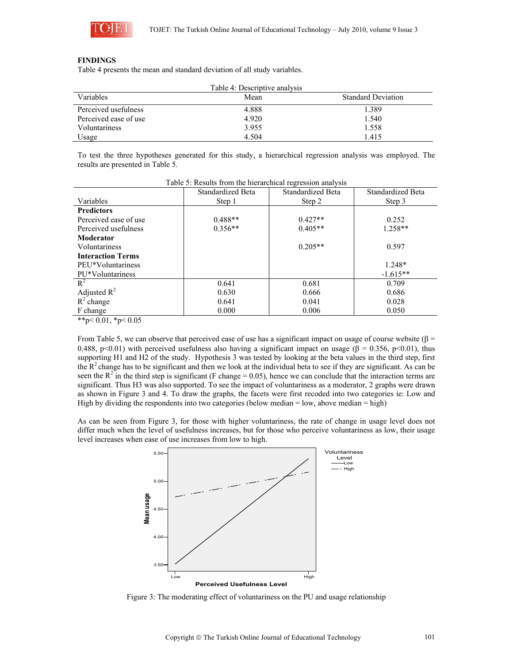

### **FINDINGS**

Table 4 presents the mean and standard deviation of all study variables.

|                       | Table 4: Descriptive analysis |                           |
|-----------------------|-------------------------------|---------------------------|
| Variables             | Mean                          | <b>Standard Deviation</b> |
| Perceived usefulness  | 4.888                         | 1.389                     |
| Perceived ease of use | 4.920                         | 1.540                     |
| Voluntariness         | 3.955                         | 1.558                     |
| Usage                 | 4.504                         | 1.415                     |

To test the three hypotheses generated for this study, a hierarchical regression analysis was employed. The results are presented in Table 5.

|                          | Standardized Beta | Standardized Beta | Standardized Beta |
|--------------------------|-------------------|-------------------|-------------------|
| Variables                | Step 1            | Step 2            | Step 3            |
| <b>Predictors</b>        |                   |                   |                   |
| Perceived ease of use    | $0.488**$         | $0.427**$         | 0.252             |
| Perceived usefulness     | $0.356**$         | $0.405**$         | $1.258**$         |
| Moderator                |                   |                   |                   |
| Voluntariness            |                   | $0.205**$         | 0.597             |
| <b>Interaction Terms</b> |                   |                   |                   |
| PEU*Voluntariness        |                   |                   | $1.248*$          |
| PU*Voluntariness         |                   |                   | $-1.615**$        |
| $R^2$                    | 0.641             | 0.681             | 0.709             |
| Adjusted $R^2$           | 0.630             | 0.666             | 0.686             |
| $R^2$ change             | 0.641             | 0.041             | 0.028             |
| F change                 | 0.000             | 0.006             | 0.050             |

Table 5: Results from the hierarchical regression analysis

\*\*p< $0.01$ , \*p< $0.05$ 

From Table 5, we can observe that perceived ease of use has a significant impact on usage of course website ( $\beta$  = 0.488, p<0.01) with perceived usefulness also having a significant impact on usage ( $\beta$  = 0.356, p<0.01), thus supporting H1 and H2 of the study. Hypothesis 3 was tested by looking at the beta values in the third step, first the  $R<sup>2</sup>$  change has to be significant and then we look at the individual beta to see if they are significant. As can be seen the  $R^2$  in the third step is significant (F change = 0.05), hence we can conclude that the interaction terms are significant. Thus H3 was also supported. To see the impact of voluntariness as a moderator, 2 graphs were drawn as shown in Figure 3 and 4. To draw the graphs, the facets were first recoded into two categories ie: Low and High by dividing the respondents into two categories (below median  $=$  low, above median  $=$  high)

As can be seen from Figure 3, for those with higher voluntariness, the rate of change in usage level does not differ much when the level of usefulness increases, but for those who perceive voluntariness as low, their usage level increases when ease of use increases from low to high.



Figure 3: The moderating effect of voluntariness on the PU and usage relationship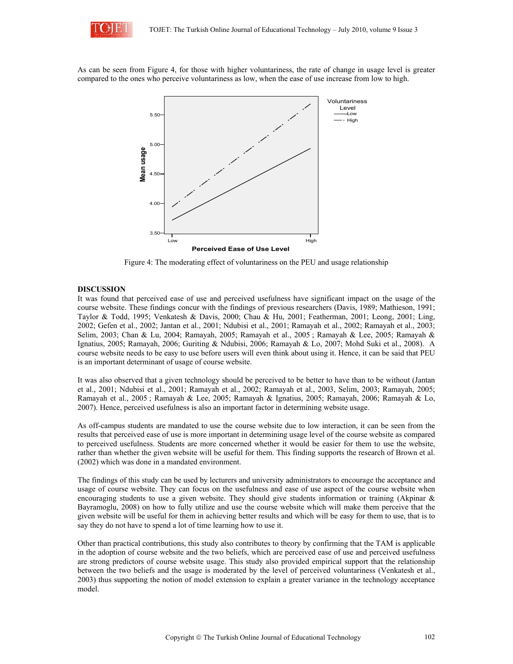

As can be seen from Figure 4, for those with higher voluntariness, the rate of change in usage level is greater compared to the ones who perceive voluntariness as low, when the ease of use increase from low to high.



Figure 4: The moderating effect of voluntariness on the PEU and usage relationship

#### **DISCUSSION**

It was found that perceived ease of use and perceived usefulness have significant impact on the usage of the course website. These findings concur with the findings of previous researchers (Davis, 1989; Mathieson, 1991; Taylor & Todd, 1995; Venkatesh & Davis, 2000; Chau & Hu, 2001; Featherman, 2001; Leong, 2001; Ling, 2002; Gefen et al., 2002; Jantan et al., 2001; Ndubisi et al., 2001; Ramayah et al., 2002; Ramayah et al., 2003; Selim, 2003; Chan & Lu, 2004; Ramayah, 2005; Ramayah et al., 2005 ; Ramayah & Lee, 2005; Ramayah & Ignatius, 2005; Ramayah, 2006; Guriting & Ndubisi, 2006; Ramayah & Lo, 2007; Mohd Suki et al., 2008). A course website needs to be easy to use before users will even think about using it. Hence, it can be said that PEU is an important determinant of usage of course website.

It was also observed that a given technology should be perceived to be better to have than to be without (Jantan et al., 2001; Ndubisi et al., 2001; Ramayah et al., 2002; Ramayah et al., 2003, Selim, 2003; Ramayah, 2005; Ramayah et al., 2005 ; Ramayah & Lee, 2005; Ramayah & Ignatius, 2005; Ramayah, 2006; Ramayah & Lo, 2007). Hence, perceived usefulness is also an important factor in determining website usage.

As off-campus students are mandated to use the course website due to low interaction, it can be seen from the results that perceived ease of use is more important in determining usage level of the course website as compared to perceived usefulness. Students are more concerned whether it would be easier for them to use the website, rather than whether the given website will be useful for them. This finding supports the research of Brown et al. (2002) which was done in a mandated environment.

The findings of this study can be used by lecturers and university administrators to encourage the acceptance and usage of course website. They can focus on the usefulness and ease of use aspect of the course website when encouraging students to use a given website. They should give students information or training (Akpinar & Bayramoglu, 2008) on how to fully utilize and use the course website which will make them perceive that the given website will be useful for them in achieving better results and which will be easy for them to use, that is to say they do not have to spend a lot of time learning how to use it.

Other than practical contributions, this study also contributes to theory by confirming that the TAM is applicable in the adoption of course website and the two beliefs, which are perceived ease of use and perceived usefulness are strong predictors of course website usage. This study also provided empirical support that the relationship between the two beliefs and the usage is moderated by the level of perceived voluntariness (Venkatesh et al., 2003) thus supporting the notion of model extension to explain a greater variance in the technology acceptance model.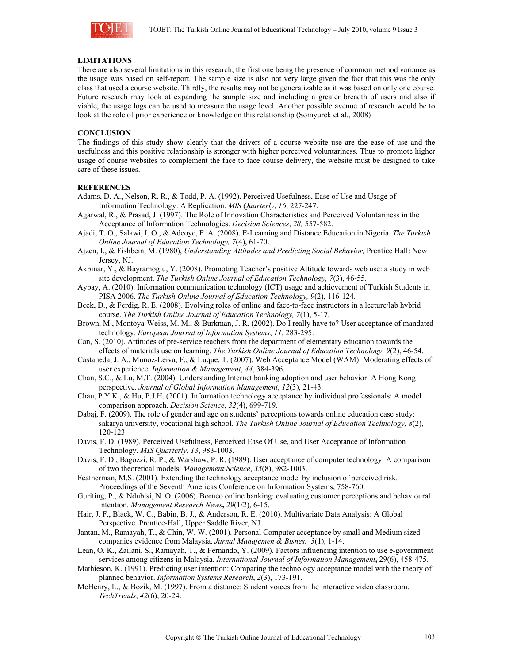

## **LIMITATIONS**

There are also several limitations in this research, the first one being the presence of common method variance as the usage was based on self-report. The sample size is also not very large given the fact that this was the only class that used a course website. Thirdly, the results may not be generalizable as it was based on only one course. Future research may look at expanding the sample size and including a greater breadth of users and also if viable, the usage logs can be used to measure the usage level. Another possible avenue of research would be to look at the role of prior experience or knowledge on this relationship (Somyurek et al., 2008)

### **CONCLUSION**

The findings of this study show clearly that the drivers of a course website use are the ease of use and the usefulness and this positive relationship is stronger with higher perceived voluntariness. Thus to promote higher usage of course websites to complement the face to face course delivery, the website must be designed to take care of these issues.

#### **REFERENCES**

- Adams, D. A., Nelson, R. R., & Todd, P. A. (1992). Perceived Usefulness, Ease of Use and Usage of Information Technology: A Replication. *MIS Quarterly*, *16*, 227-247.
- Agarwal, R., & Prasad, J. (1997). The Role of Innovation Characteristics and Perceived Voluntariness in the Acceptance of Information Technologies. *Decision Sciences*, *28,* 557-582.
- Ajadi, T. O., Salawi, I. O., & Adeoye, F. A. (2008). E-Learning and Distance Education in Nigeria. *The Turkish Online Journal of Education Technology, 7*(4), 61-70.
- Ajzen, I., & Fishbein, M. (1980), *Understanding Attitudes and Predicting Social Behavior,* Prentice Hall: New Jersey, NJ.
- Akpinar, Y., & Bayramoglu, Y. (2008). Promoting Teacher's positive Attitude towards web use: a study in web site development. *The Turkish Online Journal of Education Technology, 7*(3), 46-55.
- Aypay, A. (2010). Information communication technology (ICT) usage and achievement of Turkish Students in PISA 2006. *The Turkish Online Journal of Education Technology, 9*(2), 116-124.
- Beck, D., & Ferdig, R. E. (2008). Evolving roles of online and face-to-face instructors in a lecture/lab hybrid course. *The Turkish Online Journal of Education Technology, 7*(1), 5-17.
- Brown, M., Montoya-Weiss, M. M., & Burkman, J. R. (2002). Do I really have to? User acceptance of mandated technology. *European Journal of Information Systems*, *11*, 283-295.
- Can, S. (2010). Attitudes of pre-service teachers from the department of elementary education towards the effects of materials use on learning. *The Turkish Online Journal of Education Technology, 9*(2), 46-54.
- Castaneda, J. A., Munoz-Leiva, F., & Luque, T. (2007). Web Acceptance Model (WAM): Moderating effects of user experience. *Information & Management*, *44*, 384-396.
- Chan, S.C., & Lu, M.T. (2004). Understanding Internet banking adoption and user behavior: A Hong Kong perspective. *Journal of Global Information Management*, *12*(3), 21-43.
- Chau, P.Y.K., & Hu, P.J.H. (2001). Information technology acceptance by individual professionals: A model comparison approach. *Decision Science*, *32*(4), 699-719.
- Dabaj, F. (2009). The role of gender and age on students' perceptions towards online education case study: sakarya university, vocational high school. *The Turkish Online Journal of Education Technology, 8*(2), 120-123.
- Davis, F. D. (1989). Perceived Usefulness, Perceived Ease Of Use, and User Acceptance of Information Technology. *MIS Quarterly*, *13*, 983-1003.
- Davis, F. D., Bagozzi, R. P., & Warshaw, P. R. (1989). User acceptance of computer technology: A comparison of two theoretical models. *Management Science*, *35*(8), 982-1003.
- Featherman, M.S. (2001). Extending the technology acceptance model by inclusion of perceived risk. Proceedings of the Seventh Americas Conference on Information Systems, 758-760.
- Guriting, P., & Ndubisi, N. O. (2006). Borneo online banking: evaluating customer perceptions and behavioural intention. *Management Research News***,** *29*(1/2), 6-15.
- Hair, J. F., Black, W. C., Babin, B. J., & Anderson, R. E. (2010). Multivariate Data Analysis: A Global Perspective. Prentice-Hall, Upper Saddle River, NJ.
- Jantan, M., Ramayah, T., & Chin, W. W. (2001). Personal Computer acceptance by small and Medium sized companies evidence from Malaysia. *Jurnal Manajemen & Bisnes, 3*(1), 1-14.
- Lean, O. K., Zailani, S., Ramayah, T., & Fernando, Y. (2009). Factors influencing intention to use e-government services among citizens in Malaysia. *International Journal of Information Management***,** 29(6), 458-475.
- Mathieson, K. (1991). Predicting user intention: Comparing the technology acceptance model with the theory of planned behavior. *Information Systems Research*, *2*(3), 173-191.
- McHenry, L., & Bozik, M. (1997). From a distance: Student voices from the interactive video classroom. *TechTrends*, *42*(6), 20-24.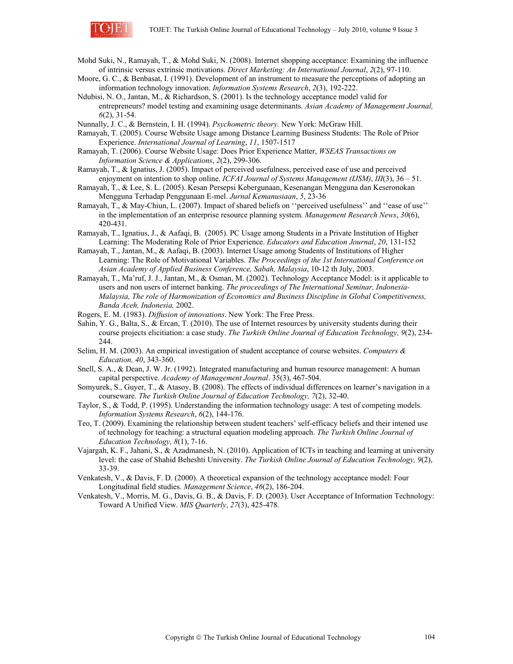

Mohd Suki, N., Ramayah, T., & Mohd Suki, N. (2008). Internet shopping acceptance: Examining the influence of intrinsic versus extrinsic motivations. *Direct Marketing: An International Journal*, *2*(2), 97-110.

- Moore, G. C., & Benbasat, I. (1991). Development of an instrument to measure the perceptions of adopting an information technology innovation. *Information Systems Research*, *2*(3), 192-222.
- Ndubisi, N. O., Jantan, M., & Richardson, S. (2001). Is the technology acceptance model valid for entrepreneurs? model testing and examining usage determinants. *Asian Academy of Management Journal, 6*(2), 31-54.

Nunnally, J. C., & Bernstein, I. H. (1994). *Psychometric theory.* New York: McGraw Hill.

- Ramayah, T. (2005). Course Website Usage among Distance Learning Business Students: The Role of Prior Experience. *International Journal of Learning*, *11*, 1507-1517
- Ramayah, T. (2006). Course Website Usage: Does Prior Experience Matter, *WSEAS Transactions on Information Science & Applications*, *2*(2), 299-306.
- Ramayah, T., & Ignatius, J. (2005). Impact of perceived usefulness, perceived ease of use and perceived enjoyment on intention to shop online. *ICFAI Journal of Systems Management (IJSM)*, *III*(3), 36 – 51.
- Ramayah, T., & Lee, S. L. (2005). Kesan Persepsi Kebergunaan, Kesenangan Mengguna dan Keseronokan Mengguna Terhadap Penggunaan E-mel. *Jurnal Kemanusiaan*, *5*, 23-36
- Ramayah, T., & May-Chiun, L. (2007). Impact of shared beliefs on ''perceived usefulness'' and ''ease of use'' in the implementation of an enterprise resource planning system. *Management Research News*, *30*(6), 420-431.
- Ramayah, T., Ignatius, J., & Aafaqi, B. (2005). PC Usage among Students in a Private Institution of Higher Learning: The Moderating Role of Prior Experience. *Educators and Education Journal*, *20*, 131-152
- Ramayah, T., Jantan, M., & Aafaqi, B. (2003). Internet Usage among Students of Institutions of Higher Learning: The Role of Motivational Variables. *The Proceedings of the 1st International Conference on Asian Academy of Applied Business Conference, Sabah, Malaysia*, 10-12 th July, 2003.
- Ramayah, T., Ma'ruf, J. J., Jantan, M., & Osman, M. (2002). Technology Acceptance Model: is it applicable to users and non users of internet banking. *The proceedings of The International Seminar, Indonesia-Malaysia, The role of Harmonization of Economics and Business Discipline in Global Competitiveness, Banda Aceh, Indonesia,* 2002.
- Rogers, E. M. (1983). *Diffusion of innovations*. New York: The Free Press.
- Sahin, Y. G., Balta, S., & Ercan, T. (2010). The use of Internet resources by university students during their course projects elicitiation: a case study. *The Turkish Online Journal of Education Technology, 9*(2), 234- 244.
- Selim, H. M. (2003). An empirical investigation of student acceptance of course websites. *Computers & Education, 40*, 343-360.
- Snell, S. A., & Dean, J. W. Jr. (1992). Integrated manufacturing and human resource management: A human capital perspective. *Academy of Management Journal*. 35(3), 467-504.
- Somyurek, S., Guyer, T., & Atasoy, B. (2008). The effects of individual differences on learner's navigation in a courseware. *The Turkish Online Journal of Education Technology, 7*(2), 32-40.
- Taylor, S., & Todd, P. (1995). Understanding the information technology usage: A test of competing models. *Information Systems Research*, *6*(2), 144-176.
- Teo, T. (2009). Examining the relationship between student teachers' self-efficacy beliefs and their intened use of technology for teaching: a structural equation modeling approach. *The Turkish Online Journal of Education Technology, 8*(1), 7-16.
- Vajargah, K. F., Jahani, S., & Azadmanesh, N. (2010). Application of ICTs in teaching and learning at university level: the case of Shahid Beheshti University. *The Turkish Online Journal of Education Technology, 9*(2), 33-39.
- Venkatesh, V., & Davis, F. D. (2000). A theoretical expansion of the technology acceptance model: Four Longitudinal field studies. *Management Science*, *46*(2), 186-204.
- Venkatesh, V., Morris, M. G., Davis, G. B., & Davis, F. D. (2003). User Acceptance of Information Technology: Toward A Unified View. *MIS Quarterly*, *27*(3), 425-478.